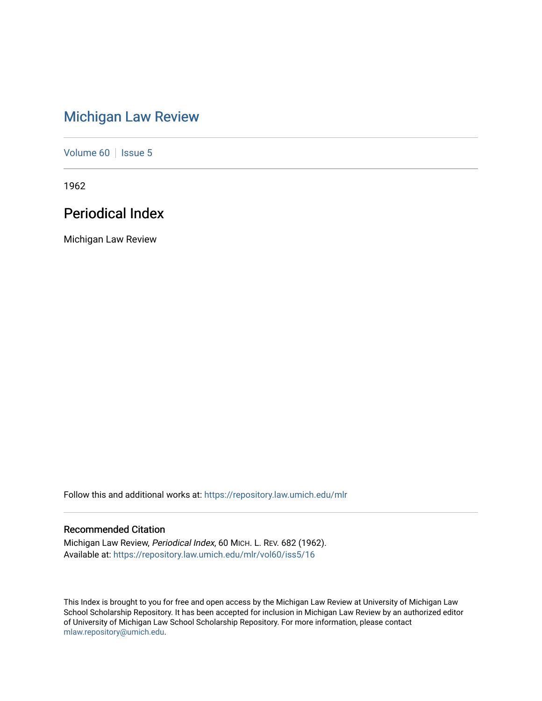# [Michigan Law Review](https://repository.law.umich.edu/mlr)

[Volume 60](https://repository.law.umich.edu/mlr/vol60) | [Issue 5](https://repository.law.umich.edu/mlr/vol60/iss5)

1962

# Periodical Index

Michigan Law Review

Follow this and additional works at: [https://repository.law.umich.edu/mlr](https://repository.law.umich.edu/mlr?utm_source=repository.law.umich.edu%2Fmlr%2Fvol60%2Fiss5%2F16&utm_medium=PDF&utm_campaign=PDFCoverPages) 

# Recommended Citation

Michigan Law Review, Periodical Index, 60 MICH. L. REV. 682 (1962). Available at: [https://repository.law.umich.edu/mlr/vol60/iss5/16](https://repository.law.umich.edu/mlr/vol60/iss5/16?utm_source=repository.law.umich.edu%2Fmlr%2Fvol60%2Fiss5%2F16&utm_medium=PDF&utm_campaign=PDFCoverPages) 

This Index is brought to you for free and open access by the Michigan Law Review at University of Michigan Law School Scholarship Repository. It has been accepted for inclusion in Michigan Law Review by an authorized editor of University of Michigan Law School Scholarship Repository. For more information, please contact [mlaw.repository@umich.edu.](mailto:mlaw.repository@umich.edu)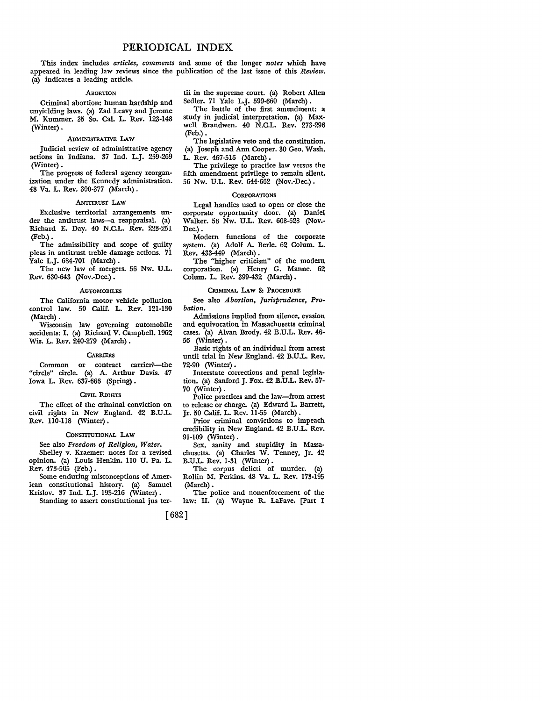This index includes *articles, comments* and some of the longer *notes* which have appeared in leading law reviews since the publication of the last issue of this *Review,*  (a) indicates a leading article.

#### .ABORTION

Criminal abortion: human hardship and unyielding laws. (a) Zad Leavy and Jerome M. Kummer. 35 So. Cal. L. Rev. 123-148 (Winter).

# ADMINISTRATIVE LAW

Judicial review of administrative agency actions in Indiana. 37 Ind. L.J. 259·269 (Winter).

The progress of federal agency reorganization under the Kennedy administration. 48 Va. L. Rev. 300-377 (March) .

#### ANTITRUSI LAW

Exclusive territorial arrangements un• der the antitrust laws-a reappraisal. (a) Richard E. Day. 40 N.CL. Rev. 223-251 (Feb.).

The admissibility and scope of guilty pleas in antitrust treble damage actions. 71 Yale L.J. 684-701 (March) .

The new law of mergers. 56 Nw. U.L. Rev. 630-643 (Nov.-Dec.) .

#### **AUTOMOBILES**

The California motor vehicle pollution control law. 50 Calif. L. Rev. 121-130 (March).

Wisconsin law governing automobile accidents: I. (a) Richard V. Campbell. 1962 Wis. L. Rev. 240-279 (March) •

#### **CARRIERS**

Common or contract carrier?--the "circle" circle. (a) A. Arthur Davis. 47 Iowa L. Rev. 637-666 (Spring).

#### CIVIL RIGHTS

The effect of the criminal conviction on civil rights in New England. 42 B.U.L. Rev. 110-ll8 (Winter) •

# CONSTITUTIONAL **LAW**

See also *Freedom of Religion, Water.*  Shelley v. Kraemer: notes for a revised opinion. (a) Louis Henkin. ll0 U. Pa. L.

Rev. 473-505 (Feb.) • Some enduring misconceptions of Amer-

ican constitutional history. (a) Samuel Krislov. 37 Ind. L.J. 195-216 (Winter) •

Standing to assert constitutional jus ter-

[682]

tii in the supreme court. (a) Robert Allen Sedler. 71 Yale L.J. 599-660 (March).

The battle of the first amendment: a study in judicial interpretation. (a) Maxwell Brandwen. 40 N.C.L. Rev. 273-296 (Feb.).

The legislative veto and the constitution. (a) Joseph and Ann Cooper. 30 Geo. Wash. L. Rev. 467-516 (March).

The privilege to practice law versus the fifth amendment privilege to remain silent. 56 Nw. U.L. Rev. 644-662 (Nov.-Dec.).

# **CORPORATIONS**

Legal handles used to open or close the corporate opportunity door. (a) Daniel Walker. 56 Nw. U.L. Rev. 608-628 (Nov.- Dec.).

Modern functions of the corporate system. (a) Adolf A. Berle. 62 Colum. L. Rev. 433-449 (March).

The "higher criticism" of the modern corporation. (a) Henry G. Manne. 62 Colum. L. Rev. 399-432 (March) .

#### CRIMINAL LAW & PROCEDURE

See also *Abortion, Jurisprudence, Probation.* 

Admissions implied from silence, evasion and equivocation in Massachusetts criminal cases. (a) Alvan Brody. 42 B.U.L. Rev. 46- 56 (Winter) .

Basic rights of an individual from arrest until trial in New England. 42 B.U.L. Rev. 72-90 (Winter) •

Interstate corrections and penal legislation. (a) Sanford J. Fox. 42 B.U.L. Rev. 57- 70 (Winter) •

Police practices and the law-from arrest to release or charge. (a) Edward L. Barrett, Jr. 50 Calif. L. Rev. 11-55 (March).

Prior criminal convictions to impeach credibility in New England. 42 B.U.L. Rev. 91-109 (Winter).

Sex, sanity and stupidity in Massachusetts. (a) Charles W. Tenney, Jr. 42 B.U.L. Rev. 1-31 (Winter).

The corpus delicti of murder. (a) Rollin M. Perkins. 48 Va. L. Rev. 173-195 (March).

The police and nonenforcement of the law: II. (a) Wayne R. LaFave. [Part I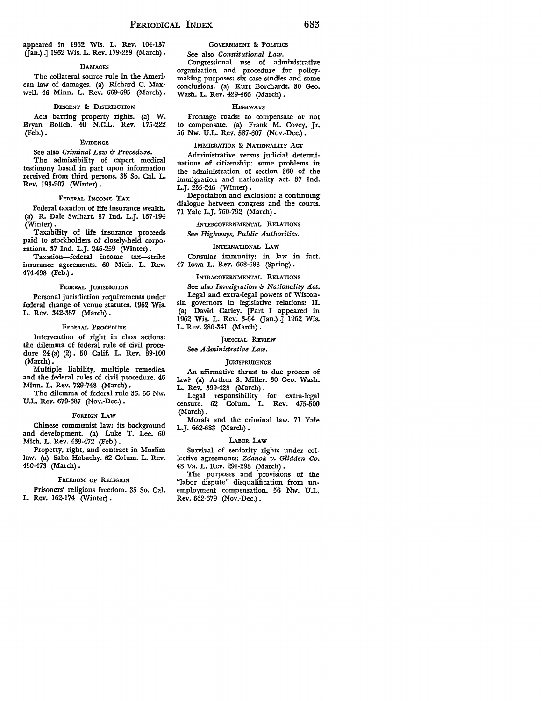appeared in 1962 Wis. L. Rev. 104-137 (Jan.).] 1962 Wis. L. Rev. 179-239 (March).

#### **DAMAGES**

The collateral source rule in the Ameri• can law of damages. (a) Richard C. Max• well. 46 Minn. L. Rev. 669-695 (March) .

#### DESCENT &: DI5IRIBUTION

Acts barring property rights. (a) W. Bryan Bolich. 40 N.C.L. Rev. 175-222 (Feb.).

#### EVIDENCE

# See also *Criminal Law* 6- *Procedure.*

The admissibility of expert medical testimony based in part upon information received from third persons. 35 So. Cal. L. Rev. 193-207 (Winter) •

# FEDERAL INCOME TAX

Federal taxation of life insurance wealth. (a) R. Dale Swihart. 37 Ind. L.J. 167-194 (Winter).

Taxability of life insurance proceeds paid to stockholders of closely-held corporations. 37 Ind. L.J. 246-259 (Winter).

Taxation-federal income tax-strike insurance agreements. 60 Mich. L. Rev. 474-498 (Feb.).

# FEDERAL JURISDICTION

Personal jurisdiction requirements under federal change of venue statutes. 1962 Wis. L. Rev. 342-357 (March) •

# FEDERAL PROCEDURE

Intervention of right in class actions: the dilemma of federal rule of civil procedure 24 (a) (2) · 50 Calif. L. Rev. 89-100 **(March).** 

Multiple liability, multiple remedies, and the federal rules of civil procedure. 46 Minn. L. Rev. 729-748 (March) •

The dilemma of federal rule 36. 56 Nw. U.L. Rev. 679-687 (Nov.-Dec.).

#### FOREIGN LAW

Chinese communist law: its background and development. (a) Luke T. Lee. 60 Mich. L. Rev. 439-472 (Feb.) .

Property, right, and contract in Muslim law. (a) Saba Habachy. 62 Colum. L. Rev. 450-473 (March) •

# FREEDOM OF RELIGION

Prisoners' religious freedom. 35 So. Cal. **L. Rev.** 162-174 (Winter).

# GOVERNMENT & POLITICS

See also *Constitutional Law.*  Congressional use of administrative organization and procedure for policymaking purposes: six case studies and some conclusions. (a) Kurt Borchardt. 30 Geo. Wash. L. Rev. 429-466 (March).

#### HIGHWAYS

Frontage roads: to compensate or not to compensate. (a) Frank M. Covey, Jr. 56 Nw. U.L. Rev. 587-607 (Nov.-Dec.).

#### IMMIGRATION & NATIONALITY ACT

Administrative versus judicial determinations of citizenship: some problems in the administration of section 360 of the immigration and nationality act. 37 Ind. L.J. 235-246 (Winter) .

Deportation and exclusion: a continuing dialogue between congress and the courts. 71 Yale L.J. 760-792 (March).

INTERGOVERNMENTAL RELATIONS

See *Highways, Public Authorities.* 

# INTERNATIONAL LAW

Consular immunity: in law in fact. 47 Iowa L. Rev. 668-688 (Spring) .

#### INTRAGOVERNMENTAL RELATIONS

See also *Immigration & Nationality Act.*  Legal and extra-legal powers of Wisconsin governors in legislative relations: II. (a) David Carley. [Part I appeared in 1962 Wis. L. Rev. 3-64 Gan.) .] 1962 Wis. L. Rev. 280-341 (March) •

#### JUDICIAL REVIEW

# See *Administrative Law.*

#### **JURISPRUDENCE**

An affirmative thrust to due process of law? (a) Arthur S. Miller. 30 Geo. Wash. L. Rev. 399-428 (March) .

Legal responsibility for extra-legal censure. 62 Colum. L. Rev. 475-500 (March).

Morals and the criminal law. 71 Yale L.J. 662-683 (March) •

#### LABOR LAw

Survival of seniority rights under collective agreements: *Zdanok v. Glidden Co.*  48 Va. L. Rev. 291-298 (March) .

The purposes and provisions of the "labor dispute" disqualification from unemployment compensation. 56 Nw. U.L. Rev. 662-679 (Nov.-Dec.) .